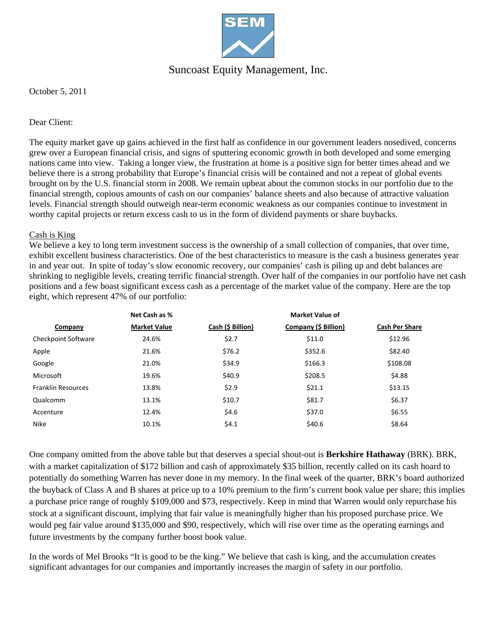

## Suncoast Equity Management, Inc.

October 5, 2011

## Dear Client:

The equity market gave up gains achieved in the first half as confidence in our government leaders nosedived, concerns grew over a European financial crisis, and signs of sputtering economic growth in both developed and some emerging nations came into view. Taking a longer view, the frustration at home is a positive sign for better times ahead and we believe there is a strong probability that Europe's financial crisis will be contained and not a repeat of global events brought on by the U.S. financial storm in 2008. We remain upbeat about the common stocks in our portfolio due to the financial strength, copious amounts of cash on our companies' balance sheets and also because of attractive valuation levels. Financial strength should outweigh near-term economic weakness as our companies continue to investment in worthy capital projects or return excess cash to us in the form of dividend payments or share buybacks.

## Cash is King

We believe a key to long term investment success is the ownership of a small collection of companies, that over time, exhibit excellent business characteristics. One of the best characteristics to measure is the cash a business generates year in and year out. In spite of today's slow economic recovery, our companies' cash is piling up and debt balances are shrinking to negligible levels, creating terrific financial strength. Over half of the companies in our portfolio have net cash positions and a few boast significant excess cash as a percentage of the market value of the company. Here are the top eight, which represent 47% of our portfolio:

|                            | Net Cash as %       | <b>Market Value of</b> |                             |                       |  |
|----------------------------|---------------------|------------------------|-----------------------------|-----------------------|--|
| Company                    | <b>Market Value</b> | Cash (\$ Billion)      | <b>Company (\$ Billion)</b> | <b>Cash Per Share</b> |  |
| <b>Checkpoint Software</b> | 24.6%               | \$2.7                  | \$11.0                      | \$12.96               |  |
| Apple                      | 21.6%               | \$76.2                 | \$352.6                     | \$82.40               |  |
| Google                     | 21.0%               | \$34.9                 | \$166.3                     | \$108.08              |  |
| Microsoft                  | 19.6%               | \$40.9                 | \$208.5                     | \$4.88                |  |
| <b>Franklin Resources</b>  | 13.8%               | \$2.9                  | \$21.1                      | \$13.15               |  |
| Qualcomm                   | 13.1%               | \$10.7                 | \$81.7                      | \$6.37                |  |
| Accenture                  | 12.4%               | \$4.6                  | \$37.0                      | \$6.55                |  |
| Nike                       | 10.1%               | \$4.1                  | \$40.6                      | \$8.64                |  |
|                            |                     |                        |                             |                       |  |

One company omitted from the above table but that deserves a special shout-out is **Berkshire Hathaway** (BRK). BRK, with a market capitalization of \$172 billion and cash of approximately \$35 billion, recently called on its cash hoard to potentially do something Warren has never done in my memory. In the final week of the quarter, BRK's board authorized the buyback of Class A and B shares at price up to a 10% premium to the firm's current book value per share; this implies a purchase price range of roughly \$109,000 and \$73, respectively. Keep in mind that Warren would only repurchase his stock at a significant discount, implying that fair value is meaningfully higher than his proposed purchase price. We would peg fair value around \$135,000 and \$90, respectively, which will rise over time as the operating earnings and future investments by the company further boost book value.

In the words of Mel Brooks "It is good to be the king." We believe that cash is king, and the accumulation creates significant advantages for our companies and importantly increases the margin of safety in our portfolio.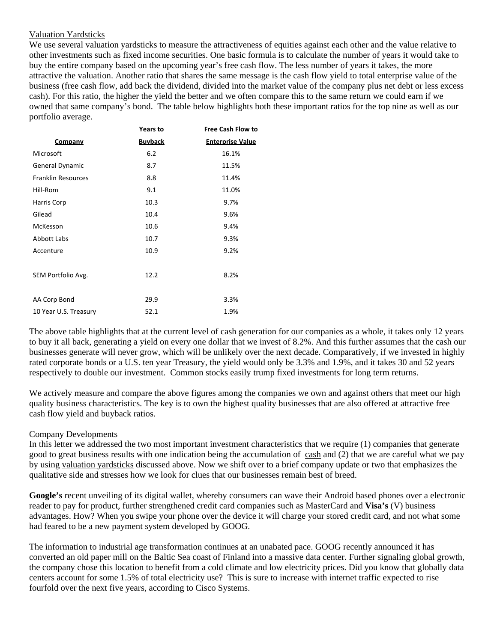## Valuation Yardsticks

We use several valuation yardsticks to measure the attractiveness of equities against each other and the value relative to other investments such as fixed income securities. One basic formula is to calculate the number of years it would take to buy the entire company based on the upcoming year's free cash flow. The less number of years it takes, the more attractive the valuation. Another ratio that shares the same message is the cash flow yield to total enterprise value of the business (free cash flow, add back the dividend, divided into the market value of the company plus net debt or less excess cash). For this ratio, the higher the yield the better and we often compare this to the same return we could earn if we owned that same company's bond. The table below highlights both these important ratios for the top nine as well as our portfolio average.

|                           | Years to       | <b>Free Cash Flow to</b> |
|---------------------------|----------------|--------------------------|
| <b>Company</b>            | <b>Buyback</b> | <b>Enterprise Value</b>  |
| Microsoft                 | 6.2            | 16.1%                    |
| General Dynamic           | 8.7            | 11.5%                    |
| <b>Franklin Resources</b> | 8.8            | 11.4%                    |
| Hill-Rom                  | 9.1            | 11.0%                    |
| Harris Corp               | 10.3           | 9.7%                     |
| Gilead                    | 10.4           | 9.6%                     |
| McKesson                  | 10.6           | 9.4%                     |
| <b>Abbott Labs</b>        | 10.7           | 9.3%                     |
| Accenture                 | 10.9           | 9.2%                     |
| SEM Portfolio Avg.        | 12.2           | 8.2%                     |
| AA Corp Bond              | 29.9           | 3.3%                     |
| 10 Year U.S. Treasury     | 52.1           | 1.9%                     |

The above table highlights that at the current level of cash generation for our companies as a whole, it takes only 12 years to buy it all back, generating a yield on every one dollar that we invest of 8.2%. And this further assumes that the cash our businesses generate will never grow, which will be unlikely over the next decade. Comparatively, if we invested in highly rated corporate bonds or a U.S. ten year Treasury, the yield would only be 3.3% and 1.9%, and it takes 30 and 52 years respectively to double our investment. Common stocks easily trump fixed investments for long term returns.

We actively measure and compare the above figures among the companies we own and against others that meet our high quality business characteristics. The key is to own the highest quality businesses that are also offered at attractive free cash flow yield and buyback ratios.

## Company Developments

In this letter we addressed the two most important investment characteristics that we require (1) companies that generate good to great business results with one indication being the accumulation of cash and (2) that we are careful what we pay by using valuation yardsticks discussed above. Now we shift over to a brief company update or two that emphasizes the qualitative side and stresses how we look for clues that our businesses remain best of breed.

**Google's** recent unveiling of its digital wallet, whereby consumers can wave their Android based phones over a electronic reader to pay for product, further strengthened credit card companies such as MasterCard and **Visa's** (V) business advantages. How? When you swipe your phone over the device it will charge your stored credit card, and not what some had feared to be a new payment system developed by GOOG.

The information to industrial age transformation continues at an unabated pace. GOOG recently announced it has converted an old paper mill on the Baltic Sea coast of Finland into a massive data center. Further signaling global growth, the company chose this location to benefit from a cold climate and low electricity prices. Did you know that globally data centers account for some 1.5% of total electricity use? This is sure to increase with internet traffic expected to rise fourfold over the next five years, according to Cisco Systems.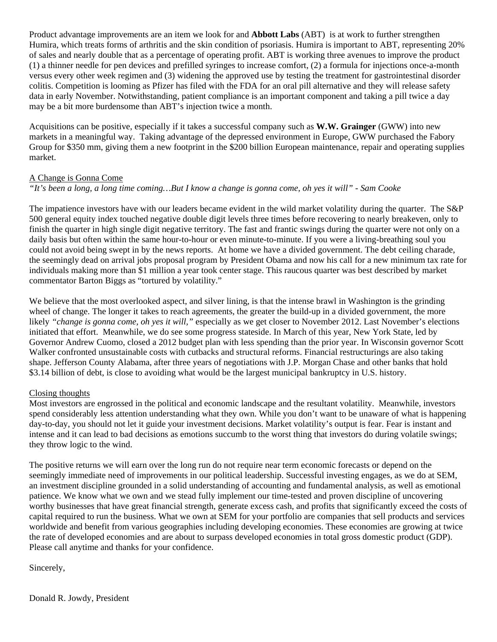Product advantage improvements are an item we look for and **Abbott Labs** (ABT) is at work to further strengthen Humira, which treats forms of arthritis and the skin condition of psoriasis. Humira is important to ABT, representing 20% of sales and nearly double that as a percentage of operating profit. ABT is working three avenues to improve the product (1) a thinner needle for pen devices and prefilled syringes to increase comfort, (2) a formula for injections once-a-month versus every other week regimen and (3) widening the approved use by testing the treatment for gastrointestinal disorder colitis. Competition is looming as Pfizer has filed with the FDA for an oral pill alternative and they will release safety data in early November. Notwithstanding, patient compliance is an important component and taking a pill twice a day may be a bit more burdensome than ABT's injection twice a month.

Acquisitions can be positive, especially if it takes a successful company such as **W.W. Grainger** (GWW) into new markets in a meaningful way. Taking advantage of the depressed environment in Europe, GWW purchased the Fabory Group for \$350 mm, giving them a new footprint in the \$200 billion European maintenance, repair and operating supplies market.

## A Change is Gonna Come

## *"It's been a long, a long time coming…But I know a change is gonna come, oh yes it will" - Sam Cooke*

The impatience investors have with our leaders became evident in the wild market volatility during the quarter. The S&P 500 general equity index touched negative double digit levels three times before recovering to nearly breakeven, only to finish the quarter in high single digit negative territory. The fast and frantic swings during the quarter were not only on a daily basis but often within the same hour-to-hour or even minute-to-minute. If you were a living-breathing soul you could not avoid being swept in by the news reports. At home we have a divided government. The debt ceiling charade, the seemingly dead on arrival jobs proposal program by President Obama and now his call for a new minimum tax rate for individuals making more than \$1 million a year took center stage. This raucous quarter was best described by market commentator Barton Biggs as "tortured by volatility."

We believe that the most overlooked aspect, and silver lining, is that the intense brawl in Washington is the grinding wheel of change. The longer it takes to reach agreements, the greater the build-up in a divided government, the more likely *"change is gonna come, oh yes it will,"* especially as we get closer to November 2012. Last November's elections initiated that effort. Meanwhile, we do see some progress stateside. In March of this year, New York State, led by Governor Andrew Cuomo, closed a 2012 budget plan with less spending than the prior year. In Wisconsin governor Scott Walker confronted unsustainable costs with cutbacks and structural reforms. Financial restructurings are also taking shape. Jefferson County Alabama, after three years of negotiations with J.P. Morgan Chase and other banks that hold \$3.14 billion of debt, is close to avoiding what would be the largest municipal bankruptcy in U.S. history.

#### Closing thoughts

Most investors are engrossed in the political and economic landscape and the resultant volatility. Meanwhile, investors spend considerably less attention understanding what they own. While you don't want to be unaware of what is happening day-to-day, you should not let it guide your investment decisions. Market volatility's output is fear. Fear is instant and intense and it can lead to bad decisions as emotions succumb to the worst thing that investors do during volatile swings; they throw logic to the wind.

The positive returns we will earn over the long run do not require near term economic forecasts or depend on the seemingly immediate need of improvements in our political leadership. Successful investing engages, as we do at SEM, an investment discipline grounded in a solid understanding of accounting and fundamental analysis, as well as emotional patience. We know what we own and we stead fully implement our time-tested and proven discipline of uncovering worthy businesses that have great financial strength, generate excess cash, and profits that significantly exceed the costs of capital required to run the business. What we own at SEM for your portfolio are companies that sell products and services worldwide and benefit from various geographies including developing economies. These economies are growing at twice the rate of developed economies and are about to surpass developed economies in total gross domestic product (GDP). Please call anytime and thanks for your confidence.

Sincerely,